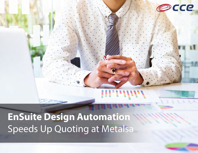

## EnSuite Design Automation Speeds Up Quoting at Metalsa

Ш

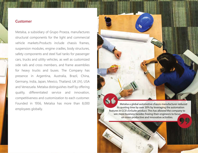## **Customer**

Metalsa, a subsidiary of Grupo Proeza, manufactures structural components for the light and commercial vehicle markets.Products include chassis frames, suspension modules, engine cradles, body structures, safety components and steel fuel tanks for passenger cars, trucks and utility vehicles, as well as customized side rails and cross members, and frame assemblies for heavy trucks and buses. The Company has presence in Argentina, Australia, Brazil, China, Germany, India, Japan, Mexico, Thailand, UK (JV), USA and Venezuela. Metalsa distinguishes itself by offering quality, differentiated service and innovation, competitiveness and customization to each customer. Founded in 1956, Metalsa has more than 8,000 employees globally.

A CHARLES AND CONTRACTOR OF THE RESIDENCE OF A REPORT OF THE RESIDENCE.

 Metalsa a global automotive chassis manufacturer reduced its quoting time by over 30% by leveraging the automation features in CCE's EnSuite product. This has allowed the company to

<u>TEL GIOLOGIA DE REGIONALE DE DE CONFIDEN</u>

**LEGAL AND AN ALL AND REAL** 

win more business besides freeing their engineers to focus on more productive and innovative activities.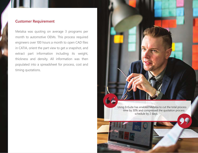## **Customer Requirement**

Metalsa was quoting on average 3 programs per month to automotive OEMs. This process required engineers over 100 hours a month to open CAD files in CATIA, orient the part view to get a snapshot, and extract part information including its weight, thickness and density. All information was then populated into a spreadsheet for process, cost and timing quotations.

> Using EnSuite has enabled Metalsa to cut the total process time by 30% and compressed the quotation process schedule by 2 days.